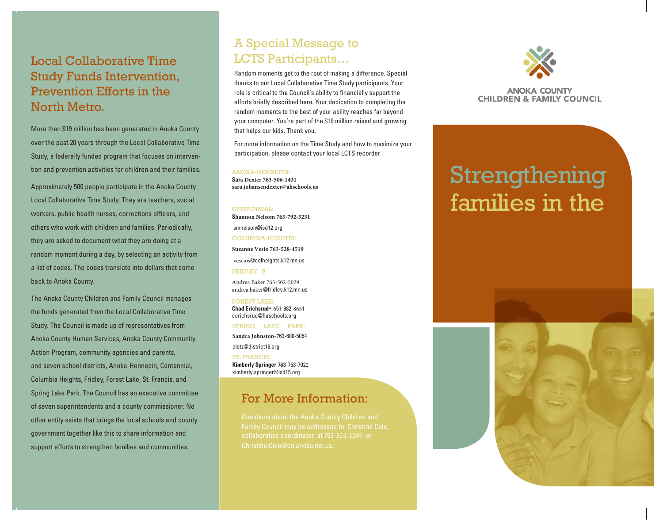### Local Collaborative Time Study Funds Intervention, Prevention Efforts in the North Metro.

More than \$19 million has been generated in Anoka County over the past 20 years through the Local Collaborative Time Study, a federally funded program that focuses on intervention and prevention activities for children and their families. Approximately 500 people participate in the Anoka County Local Collaborative Time Study. They are teachers, social workers, public health nurses, corrections officers, and others who work with children and families. Periodically, they are asked to document what they are doing at a random moment during a day, by selecting an activity from a list of codes. The codes translate into dollars that come back to Anoka County.

The Anoka County Children and Family Council manages the funds generated from the Local Collaborative Time Study. The Council is made up of representatives from Anoka County Human Services, Anoka County Community Action Program, community agencies and parents, and seven school districts, Anoka-Hennepin, Centennial, Columbia Heights, Fridley, Forest Lake, St. Francis, and Spring Lake Park. The Council has an executive committee of seven superintendents and a county commissioner. No other entity exists that brings the local schools and county government together like this to share information and support efforts to strengthen families and communities.

### A Special Message to LCTS Participants…

Random moments get to the root of making a difference. Special thanks to our Local Collaborative Time Study participants. Your role is critical to the Council's ability to financially support the efforts briefly described here. Your dedication to completing the random moments to the best of your ability reaches far beyond your computer. You're part of the \$19 million raised and growing that helps our kids. Thank you.

For more information on the Time Study and how to maximize your participation, please contact your local LCTS recorder.

### ANokA-HENNEPIN: **Sara Dexter 763-506-1431**

**sara.johansendexter@ahschools.us** 

CENTENNIAL: **Shannon Nelsom 763-792-5231** smnelson@isd12.org CoLuMbIA-HEIgHTS: **Suzanne Vesio 763-528-4519** vescios@colheights.k12.mn.us

FRIDLEY: B

Andrea Baker 763-502-5029 andrea.baker@fridley.k12.mn.us

ForEST LAkE: **Chad Erichsrud • 651-982-8651** cerichsrud@flaschools.org

SPrINg LAkE PArk:

**Sandra Johnston-7**63-600-5054 clotz@district16.org

ST. FrANCIS: **Kimberly Springer 763-753-7022** kimberly.springer@isd15.org

### For More Information:

Family Council may be addressed to Christine Cole.



**ANOKA COUNTY CHILDREN & FAMILY COUNCIL** 

# Strengthening families in the